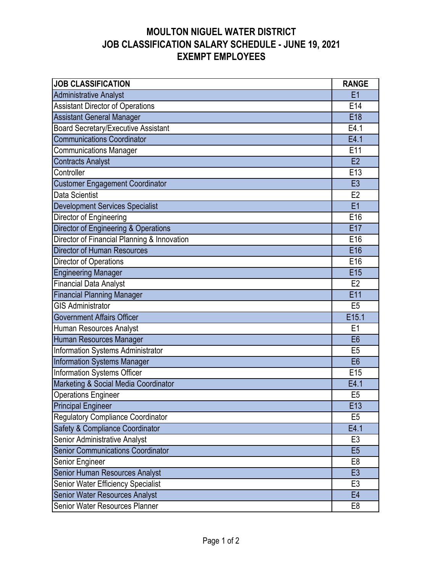| <b>JOB CLASSIFICATION</b>                   | <b>RANGE</b>    |
|---------------------------------------------|-----------------|
| Administrative Analyst                      | E1              |
| <b>Assistant Director of Operations</b>     | E14             |
| <b>Assistant General Manager</b>            | E18             |
| Board Secretary/Executive Assistant         | E4.1            |
| <b>Communications Coordinator</b>           | E4.1            |
| <b>Communications Manager</b>               | E11             |
| <b>Contracts Analyst</b>                    | E2              |
| Controller                                  | E13             |
| <b>Customer Engagement Coordinator</b>      | E <sub>3</sub>  |
| Data Scientist                              | E2              |
| <b>Development Services Specialist</b>      | E1              |
| Director of Engineering                     | E16             |
| Director of Engineering & Operations        | E17             |
| Director of Financial Planning & Innovation | E16             |
| <b>Director of Human Resources</b>          | E16             |
| Director of Operations                      | E16             |
| <b>Engineering Manager</b>                  | E <sub>15</sub> |
| <b>Financial Data Analyst</b>               | E <sub>2</sub>  |
| <b>Financial Planning Manager</b>           | E11             |
| <b>GIS Administrator</b>                    | E <sub>5</sub>  |
| <b>Government Affairs Officer</b>           | E15.1           |
| Human Resources Analyst                     | E <sub>1</sub>  |
| Human Resources Manager                     | E <sub>6</sub>  |
| Information Systems Administrator           | E <sub>5</sub>  |
| Information Systems Manager                 | E <sub>6</sub>  |
| Information Systems Officer                 | E <sub>15</sub> |
| Marketing & Social Media Coordinator        | E4.1            |
| <b>Operations Engineer</b>                  | E <sub>5</sub>  |
| <b>Principal Engineer</b>                   | E13             |
| Regulatory Compliance Coordinator           | E <sub>5</sub>  |
| Safety & Compliance Coordinator             | E4.1            |
| Senior Administrative Analyst               | E <sub>3</sub>  |
| <b>Senior Communications Coordinator</b>    | E <sub>5</sub>  |
| Senior Engineer                             | E <sub>8</sub>  |
| Senior Human Resources Analyst              | E <sub>3</sub>  |
| Senior Water Efficiency Specialist          | E <sub>3</sub>  |
| Senior Water Resources Analyst              | E <sub>4</sub>  |
| Senior Water Resources Planner              | E <sub>8</sub>  |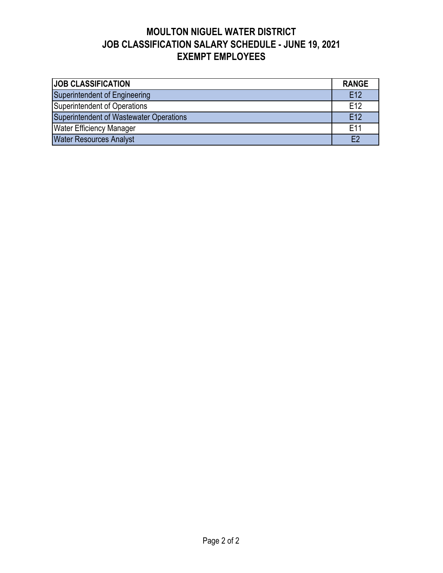| <b>JOB CLASSIFICATION</b>               | <b>RANGE</b>    |  |  |  |  |  |
|-----------------------------------------|-----------------|--|--|--|--|--|
| Superintendent of Engineering           | E12             |  |  |  |  |  |
| Superintendent of Operations            | E12             |  |  |  |  |  |
| Superintendent of Wastewater Operations |                 |  |  |  |  |  |
| <b>Water Efficiency Manager</b>         | E <sub>11</sub> |  |  |  |  |  |
| <b>Water Resources Analyst</b>          | F2              |  |  |  |  |  |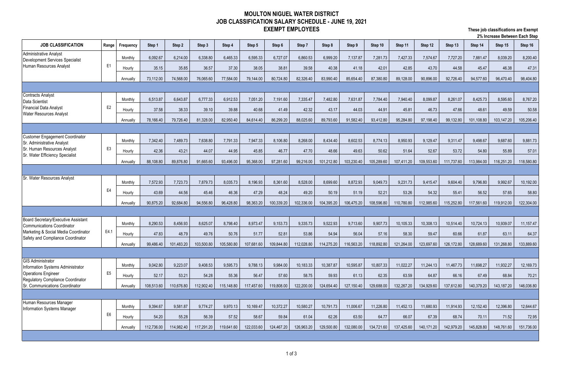| <b>JOB CLASSIFICATION</b>                                                                   | Range          | Frequency | Step 1     | Step 2     | Step 3     | Step 4     | Step 5     | Step 6     | Step 7     | Step 8     | Step 9     | Step 10    | Step 11    | Step 12    | Step 13    | Step 14    | Step 15    | Step 16    |
|---------------------------------------------------------------------------------------------|----------------|-----------|------------|------------|------------|------------|------------|------------|------------|------------|------------|------------|------------|------------|------------|------------|------------|------------|
| Administrative Analyst<br><b>Development Services Specialist</b><br>Human Resources Analyst |                | Monthly   | 6,092.67   | 6,214.00   | 6,338.80   | 6,465.33   | 6,595.33   | 6,727.07   | 6,860.53   | 6,999.20   | 7,137.87   | 7,281.73   | 7,427.33   | 7,574.67   | 7,727.20   | 7,881.47   | 8,039.20   | 8,200.40   |
|                                                                                             | E <sub>1</sub> | Hourly    | 35.15      | 35.85      | 36.57      | 37.30      | 38.05      | 38.81      | 39.58      | 40.38      | 41.18      | 42.01      | 42.85      | 43.70      | 44.58      | 45.47      | 46.38      | 47.31      |
|                                                                                             |                | Annually  | 73,112.00  | 74,568.00  | 76,065.60  | 77,584.00  | 79,144.00  | 80,724.80  | 82,326.40  | 83,990.40  | 85,654.40  | 87,380.80  | 89,128.00  | 90,896.00  | 92,726.40  | 94,577.60  | 96,470.40  | 98,404.80  |
|                                                                                             |                |           |            |            |            |            |            |            |            |            |            |            |            |            |            |            |            |            |
| <b>Contracts Analyst</b><br>Data Scientist                                                  |                | Monthly   | 6,513.87   | 6,643.87   | 6,777.33   | 6,912.53   | 7,051.20   | 7,191.60   | 7,335.47   | 7,482.80   | 7,631.87   | 7,784.40   | 7,940.40   | 8,099.87   | 8,261.07   | 8,425.73   | 8,595.60   | 8,767.20   |
| <b>Financial Data Analyst</b>                                                               | E <sub>2</sub> | Hourly    | 37.58      | 38.33      | 39.10      | 39.88      | 40.68      | 41.49      | 42.32      | 43.17      | 44.03      | 44.91      | 45.81      | 46.73      | 47.66      | 48.61      | 49.59      | 50.58      |
| <b>Water Resources Analyst</b>                                                              |                | Annually  | 78,166.40  | 79,726.40  | 81,328.00  | 82,950.40  | 84,614.40  | 86,299.20  | 88,025.60  | 89,793.60  | 91,582.40  | 93,412.80  | 95,284.80  | 97,198.40  | 99,132.80  | 101,108.80 | 103,147.20 | 105,206.40 |
|                                                                                             |                |           |            |            |            |            |            |            |            |            |            |            |            |            |            |            |            |            |
| <b>Customer Engagement Coordinator</b>                                                      |                | Monthly   | 7,342.40   | 7,489.73   | 7,638.80   | 7,791.33   | 7,947.33   | 8,106.80   | 8,268.00   | 8,434.40   | 8,602.53   | 8,774.13   | 8,950.93   | 9,129.47   | 9,311.47   | 9,498.67   | 9,687.60   | 9,881.73   |
| Sr. Administrative Analyst<br>Sr. Human Resources Analyst                                   | E <sub>3</sub> | Hourly    | 42.36      | 43.21      | 44.07      | 44.95      | 45.85      | 46.77      | 47.70      | 48.66      | 49.63      | 50.62      | 51.64      | 52.67      | 53.72      | 54.80      | 55.89      | 57.01      |
| Sr. Water Efficiency Specialist                                                             |                | Annually  | 88,108.80  | 89,876.80  | 91,665.60  | 93,496.00  | 95,368.00  | 97,281.60  | 99,216.00  | 101,212.80 | 103,230.40 | 105,289.60 | 107,411.20 | 109,553.60 | 111,737.60 | 113,984.00 | 116,251.20 | 118,580.80 |
|                                                                                             |                |           |            |            |            |            |            |            |            |            |            |            |            |            |            |            |            |            |
| Sr. Water Resources Analyst                                                                 | E4             | Monthly   | 7,572.93   | 7,723.73   | 7,879.73   | 8,035.73   | 8,196.93   | 8,361.60   | 8,528.00   | 8,699.60   | 8,872.93   | 9,049.73   | 9,231.73   | 9,415.47   | 9,604.40   | 9,796.80   | 9,992.67   | 10,192.00  |
|                                                                                             |                | Hourly    | 43.69      | 44.56      | 45.46      | 46.36      | 47.29      | 48.24      | 49.20      | 50.19      | 51.19      | 52.21      | 53.26      | 54.32      | 55.41      | 56.52      | 57.65      | 58.80      |
|                                                                                             |                | Annuallv  | 90,875.20  | 92,684.80  | 94,556.80  | 96,428.80  | 98,363.20  | 100,339.20 | 102,336.00 | 104,395.20 | 106,475.20 | 108,596.80 | 110,780.80 | 112,985.60 | 115,252.80 | 117,561.60 | 119,912.00 | 122,304.00 |
|                                                                                             |                |           |            |            |            |            |            |            |            |            |            |            |            |            |            |            |            |            |
| <b>Board Secretary/Executive Assistant</b>                                                  |                | Monthly   | 8,290.53   | 8,456.93   | 8,625.07   | 8,798.40   | 8,973.47   | 9,153.73   | 9,335.73   | 9,522.93   | 9,713.60   | 9,907.73   | 10,105.33  | 10,308.13  | 10,514.40  | 10,724.13  | 10,939.07  | 11,157.47  |
| <b>Communications Coordinator</b><br>Marketing & Social Media Coordinator                   | E4.1           | Hourly    | 47.83      | 48.79      | 49.76      | 50.76      | 51.77      | 52.81      | 53.86      | 54.94      | 56.04      | 57.16      | 58.30      | 59.47      | 60.66      | 61.87      | 63.11      | 64.37      |
| Safety and Compliance Coordinator                                                           |                | Annually  | 99,486.40  | 101,483.20 | 103,500.80 | 105,580.80 | 107,681.60 | 109,844.80 | 112,028.80 | 114,275.20 | 116,563.20 | 118,892.80 | 121,264.00 | 123,697.60 | 126,172.80 | 128,689.60 | 131,268.80 | 133,889.60 |
|                                                                                             |                |           |            |            |            |            |            |            |            |            |            |            |            |            |            |            |            |            |
| <b>GIS Administrator</b>                                                                    |                | Monthly   | 9,042.80   | 9,223.07   | 9,408.53   | 9,595.73   | 9,788.13   | 9,984.00   | 10,183.33  | 10,387.87  | 10,595.87  | 10,807.33  | 11,022.27  | 11,244.13  | 11,467.73  | 11,698.27  | 11,932.27  | 12,169.73  |
| Information Systems Administrator<br><b>Operations Engineer</b>                             | E <sub>5</sub> | Hourly    | 52.17      | 53.21      | 54.28      | 55.36      | 56.47      | 57.60      | 58.75      | 59.93      | 61.13      | 62.35      | 63.59      | 64.87      | 66.16      | 67.49      | 68.84      | 70.21      |
| Regulatory Compliance Coordinator                                                           |                |           | 108,513.60 | 110,676.80 | 112,902.40 |            | 117,457.60 | 119,808.00 | 122,200.00 | 124,654.40 | 127,150.40 | 129,688.00 | 132,267.20 | 134,929.60 | 137,612.80 | 140,379.20 | 143,187.20 | 146,036.80 |
| Sr. Communications Coordinator                                                              |                | Annually  |            |            |            | 115,148.80 |            |            |            |            |            |            |            |            |            |            |            |            |
| Human Resources Manager                                                                     |                |           |            |            |            |            |            |            |            |            |            |            |            |            |            |            |            |            |
| Information Systems Manager                                                                 | E <sub>6</sub> | Monthly   | 9,394.67   | 9,581.87   | 9,774.27   | 9,970.13   | 10,169.47  | 10,372.27  | 10,580.27  | 10,791.73  | 11,006.67  | 11,226.80  | 11,452.13  | 11,680.93  | 11,914.93  | 12,152.40  | 12,396.80  | 12,644.67  |
|                                                                                             |                | Hourly    | 54.20      | 55.28      | 56.39      | 57.52      | 58.67      | 59.84      | 61.04      | 62.26      | 63.50      | 64.77      | 66.07      | 67.39      | 68.74      | 70.11      | 71.52      | 72.95      |
|                                                                                             |                | Annually  | 112,736.00 | 114,982.40 | 117,291.20 | 119,641.60 | 122,033.60 | 124,467.20 | 126,963.20 | 129,500.80 | 132,080.00 | 134,721.60 | 137,425.60 | 140,171.20 | 142,979.20 | 145,828.80 | 148,761.60 | 151,736.00 |

### **These job classifications are Exempt 2% Increase Between Each Step**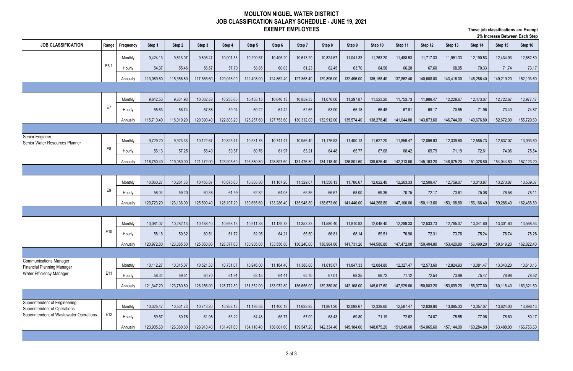### **These job classifications are Exempt 2% Increase Between Each Step**

| <b>JOB CLASSIFICATION</b>                                            | Range          | Frequency | Step 1     | Step 2     | Step 3     | Step 4     | Step 5     | Step 6     | Step 7     | Step 8     | Step 9     | Step 10    | Step 11    | Step 12    | Step 13    | Step 14    | Step 15    | Step 16    |
|----------------------------------------------------------------------|----------------|-----------|------------|------------|------------|------------|------------|------------|------------|------------|------------|------------|------------|------------|------------|------------|------------|------------|
|                                                                      |                | Monthly   | 9,424.13   | 9,613.07   | 9,805.47   | 10,001.33  | 10,200.67  | 10,405.20  | 10,613.20  | 10,824.67  | 11,041.33  | 11,263.20  | 11,488.53  | 11,717.33  | 11,951.33  | 12,190.53  | 12,434.93  | 12,682.80  |
|                                                                      | E6.1           | Hourly    | 54.37      | 55.46      | 56.57      | 57.70      | 58.85      | 60.03      | 61.23      | 62.45      | 63.70      | 64.98      | 66.28      | 67.60      | 68.95      | 70.33      | 71.74      | 73.17      |
|                                                                      |                | Annually  | 113,089.60 | 115,356.80 | 117,665.60 | 120,016.00 | 122,408.00 | 124,862.40 | 127,358.40 | 129,896.00 | 132,496.00 | 135,158.40 | 137,862.40 | 140,608.00 | 143,416.00 | 146,286.40 | 149,219.20 | 152,193.60 |
|                                                                      |                |           |            |            |            |            |            |            |            |            |            |            |            |            |            |            |            |            |
|                                                                      |                | Monthly   | 9,642.53   | 9,834.93   | 10,032.53  | 10,233.60  | 10,438.13  | 10,646.13  | 10,859.33  | 11,076.00  | 11,297.87  | 11,523.20  | 11,753.73  | 11,989.47  | 12,228.67  | 12,473.07  | 12,722.67  | 12,977.47  |
|                                                                      | E7             | Hourly    | 55.63      | 56.74      | 57.88      | 59.04      | 60.22      | 61.42      | 62.65      | 63.90      | 65.18      | 66.48      | 67.81      | 69.17      | 70.55      | 71.96      | 73.40      | 74.87      |
|                                                                      |                | Annually  | 115,710.40 | 118,019.20 | 120,390.40 | 122,803.20 | 125,257.60 | 127,753.60 | 130,312.00 | 132,912.00 | 135,574.40 | 138,278.40 | 141,044.80 | 143,873.60 | 146,744.00 | 149,676.80 | 152,672.00 | 155,729.60 |
|                                                                      |                |           |            |            |            |            |            |            |            |            |            |            |            |            |            |            |            |            |
| Senior Engineer                                                      |                | Monthly   | 9,729.20   | 9,923.33   | 10,122.67  | 10,325.47  | 10,531.73  | 10,741.47  | 10,956.40  | 11,176.53  | 11,400.13  | 11,627.20  | 11,859.47  | 12,096.93  | 12,339.60  | 12,585.73  | 12,837.07  | 13,093.60  |
| Senior Water Resources Planner                                       | E <sub>8</sub> | Hourly    | 56.13      | 57.25      | 58.40      | 59.57      | 60.76      | 61.97      | 63.21      | 64.48      | 65.77      | 67.08      | 68.42      | 69.79      | 71.19      | 72.61      | 74.06      | 75.54      |
|                                                                      |                | Annually  | 116,750.40 | 119,080.00 | 121,472.00 | 123,905.60 | 126,380.80 | 128,897.60 | 131,476.80 | 134,118.40 | 136,801.60 | 139,526.40 | 142,313.60 | 145,163.20 | 148,075.20 | 151,028.80 | 154,044.80 | 157,123.20 |
|                                                                      |                |           |            |            |            |            |            |            |            |            |            |            |            |            |            |            |            |            |
|                                                                      |                | Monthly   | 10,060.27  | 10,261.33  | 10,465.87  | 10,675.60  | 10,888.80  | 11,107.20  | 11,329.07  | 11,556.13  | 11,786.67  | 12,022.40  | 12,263.33  | 12,509.47  | 12,759.07  | 13,013.87  | 13,273.87  | 13,539.07  |
|                                                                      | E <sub>9</sub> | Hourly    | 58.04      | 59.20      | 60.38      | 61.59      | 62.82      | 64.08      | 65.36      | 66.67      | 68.00      | 69.36      | 70.75      | 72.17      | 73.61      | 75.08      | 76.58      | 78.11      |
|                                                                      |                |           | 120,723.20 | 123,136.00 | 125,590.40 | 128,107.20 | 130,665.60 | 133,286.40 |            | 138,673.60 | 141,440.00 | 144,268.80 | 147,160.00 | 150,113.60 | 153,108.80 | 156,166.40 | 159,286.40 | 162,468.80 |
|                                                                      |                | Annually  |            |            |            |            |            |            | 135,948.80 |            |            |            |            |            |            |            |            |            |
|                                                                      |                |           |            |            |            |            |            |            |            |            |            |            |            |            |            |            |            |            |
|                                                                      | E10            | Monthly   | 10,081.07  | 10,282.13  | 10,488.40  | 10,698.13  | 10,911.33  | 11,129.73  | 11,353.33  | 11,580.40  | 11,810.93  | 12,048.40  | 12,289.33  | 12,533.73  | 12,785.07  | 13,041.60  | 13,301.60  | 13,568.53  |
|                                                                      |                | Hourly    | 58.16      | 59.32      | 60.51      | 61.72      | 62.95      | 64.21      | 65.50      | 66.81      | 68.14      | 69.51      | 70.90      | 72.31      | 73.76      | 75.24      | 76.74      | 78.28      |
|                                                                      |                | Annually  | 120,972.80 | 123,385.60 | 125,860.80 | 128,377.60 | 130,936.00 | 133,556.80 | 136,240.00 | 138,964.80 | 141,731.20 | 144,580.80 | 147,472.00 | 150,404.80 | 153,420.80 | 156,499.20 | 159,619.20 | 162,822.40 |
| Communications Manager                                               |                |           |            |            |            |            |            |            |            |            |            |            |            |            |            |            |            |            |
| <b>Financial Planning Manager</b><br><b>Water Efficiency Manager</b> | E11            | Monthly   | 10,112.27  | 10,315.07  | 10,521.33  | 10,731.07  | 10,946.00  | 11,164.40  | 11,388.00  | 11,615.07  | 11,847.33  | 12,084.80  | 12,327.47  | 12,573.60  | 12,824.93  | 13,081.47  | 13,343.20  | 13,610.13  |
|                                                                      |                | Hourly    | 58.34      | 59.51      | 60.70      | 61.91      | 63.15      | 64.41      | 65.70      | 67.01      | 68.35      | 69.72      | 71.12      | 72.54      | 73.99      | 75.47      | 76.98      | 78.52      |
|                                                                      |                | Annually  | 121,347.20 | 123,780.80 | 126,256.00 | 128,772.80 | 131,352.00 | 133,972.80 | 136,656.00 | 139,380.80 | 142,168.00 | 145,017.60 | 147,929.60 | 150,883.20 | 153,899.20 | 156,977.60 | 160,118.40 | 163,321.60 |
| Superintendent of Engineering                                        |                |           |            |            |            |            |            |            |            |            |            |            |            |            |            |            |            |            |
| Superintendent of Operations                                         |                | Monthly   | 10,325.47  | 10,531.73  | 10,743.20  | 10,958.13  | 11,176.53  | 11,400.13  | 11,628.93  | 11,861.20  | 12,098.67  | 12,339.60  | 12,587.47  | 12,838.80  | 13,095.33  | 13,357.07  | 13,624.00  | 13,896.13  |
| Superintendent of Wastewater Operations                              | E12            | Hourly    | 59.57      | 60.76      | 61.98      | 63.22      | 64.48      | 65.77      | 67.09      | 68.43      | 69.80      | 71.19      | 72.62      | 74.07      | 75.55      | 77.06      | 78.60      | 80.17      |
|                                                                      |                | Annually  | 123,905.60 | 126,380.80 | 128,918.40 | 131,497.60 | 134,118.40 | 136,801.60 | 139,547.20 | 142,334.40 | 145,184.00 | 148,075.20 | 151,049.60 | 154,065.60 | 157,144.00 | 160,284.80 | 163,488.00 | 166,753.60 |